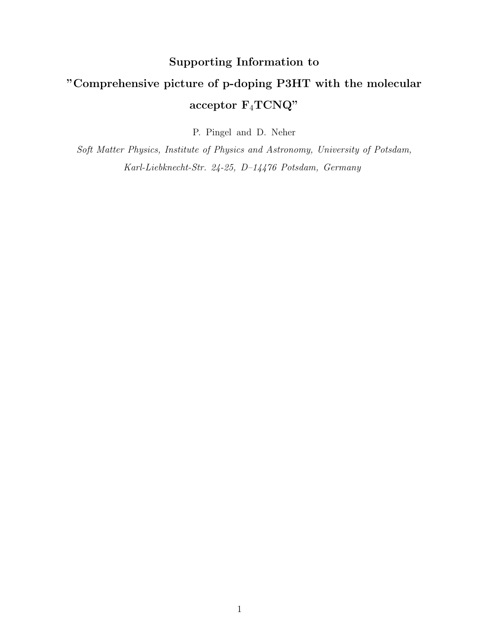# Supporting Information to "Comprehensive picture of p-doping P3HT with the molecular acceptor  $\mathrm{F}_4\mathrm{TCNQ}$  "

P. Pingel and D. Neher

Soft Matter Physics, Institute of Physics and Astronomy, University of Potsdam, Karl-Liebknecht-Str. 24-25, D–14476 Potsdam, Germany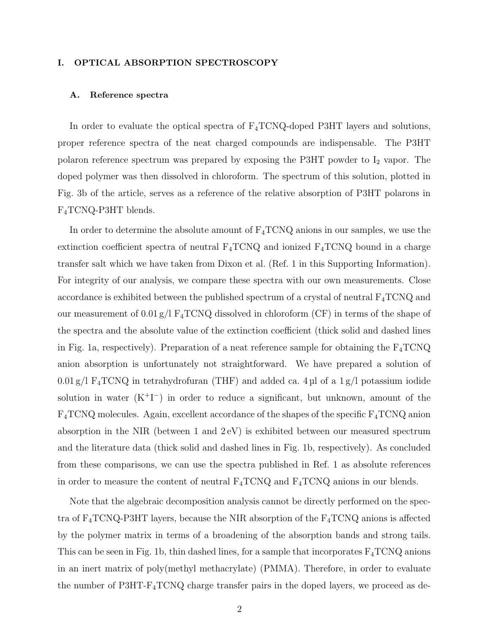### I. OPTICAL ABSORPTION SPECTROSCOPY

#### A. Reference spectra

In order to evaluate the optical spectra of F4TCNQ-doped P3HT layers and solutions, proper reference spectra of the neat charged compounds are indispensable. The P3HT polaron reference spectrum was prepared by exposing the P3HT powder to  $I_2$  vapor. The doped polymer was then dissolved in chloroform. The spectrum of this solution, plotted in Fig. 3b of the article, serves as a reference of the relative absorption of P3HT polarons in F4TCNQ-P3HT blends.

In order to determine the absolute amount of  $F_4TCNQ$  anions in our samples, we use the extinction coefficient spectra of neutral  $F_4TCNQ$  and ionized  $F_4TCNQ$  bound in a charge transfer salt which we have taken from Dixon et al. (Ref. 1 in this Supporting Information). For integrity of our analysis, we compare these spectra with our own measurements. Close accordance is exhibited between the published spectrum of a crystal of neutral  $F_4TCNQ$  and our measurement of  $0.01 \text{ g/l}$  F<sub>4</sub>TCNQ dissolved in chloroform (CF) in terms of the shape of the spectra and the absolute value of the extinction coefficient (thick solid and dashed lines in Fig. 1a, respectively). Preparation of a neat reference sample for obtaining the  $F_4TCNQ$ anion absorption is unfortunately not straightforward. We have prepared a solution of  $0.01$  g/l F<sub>4</sub>TCNQ in tetrahydrofuran (THF) and added ca. 4 µl of a 1 g/l potassium iodide solution in water  $(K^+I^-)$  in order to reduce a significant, but unknown, amount of the  $F_4TCNQ$  molecules. Again, excellent accordance of the shapes of the specific  $F_4TCNQ$  anion absorption in the NIR (between 1 and 2 eV) is exhibited between our measured spectrum and the literature data (thick solid and dashed lines in Fig. 1b, respectively). As concluded from these comparisons, we can use the spectra published in Ref. 1 as absolute references in order to measure the content of neutral  $F_4TCNQ$  and  $F_4TCNQ$  anions in our blends.

Note that the algebraic decomposition analysis cannot be directly performed on the spectra of  $F_4TCNQ-P3HT$  layers, because the NIR absorption of the  $F_4TCNQ$  anions is affected by the polymer matrix in terms of a broadening of the absorption bands and strong tails. This can be seen in Fig. 1b, thin dashed lines, for a sample that incorporates  $F_4TCNQ$  anions in an inert matrix of poly(methyl methacrylate) (PMMA). Therefore, in order to evaluate the number of  $P3HT-F_4TCNQ$  charge transfer pairs in the doped layers, we proceed as de-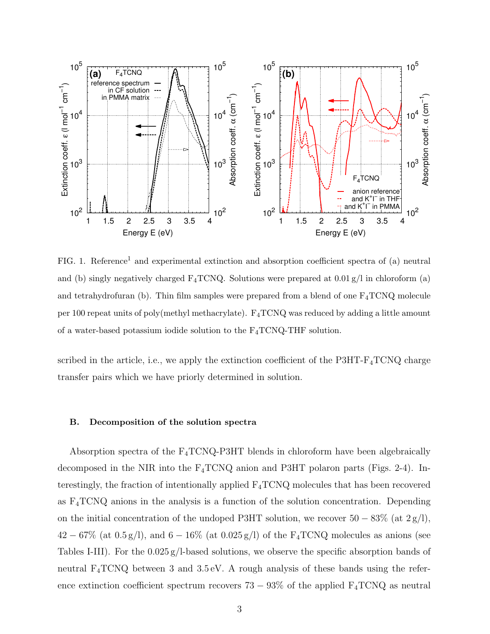

FIG. 1. Reference<sup>1</sup> and experimental extinction and absorption coefficient spectra of (a) neutral and (b) singly negatively charged  $F_4TCNQ$ . Solutions were prepared at  $0.01 g/l$  in chloroform (a) and tetrahydrofuran (b). Thin film samples were prepared from a blend of one  $F_4TCNQ$  molecule per 100 repeat units of poly(methyl methacrylate).  $F_4TCNQ$  was reduced by adding a little amount of a water-based potassium iodide solution to the  $F_4TCNQ-THF$  solution.

scribed in the article, i.e., we apply the extinction coefficient of the P3HT-F4TCNQ charge transfer pairs which we have priorly determined in solution.

#### B. Decomposition of the solution spectra

Absorption spectra of the  $F_4TCNQ-P3HT$  blends in chloroform have been algebraically decomposed in the NIR into the F4TCNQ anion and P3HT polaron parts (Figs. 2-4). Interestingly, the fraction of intentionally applied  $F_4TCNQ$  molecules that has been recovered as  $F_4TCNQ$  anions in the analysis is a function of the solution concentration. Depending on the initial concentration of the undoped P3HT solution, we recover  $50 - 83\%$  (at  $2 g/l$ ),  $42-67\%$  (at  $0.5\,\mathrm{g/l}),$  and  $6-16\%$  (at  $0.025\,\mathrm{g/l})$  of the F<sub>4</sub>TCNQ molecules as anions (see Tables I-III). For the 0.025 g/l-based solutions, we observe the specific absorption bands of neutral  $F_4TCNQ$  between 3 and 3.5 eV. A rough analysis of these bands using the reference extinction coefficient spectrum recovers  $73 - 93\%$  of the applied  $F_4TCNQ$  as neutral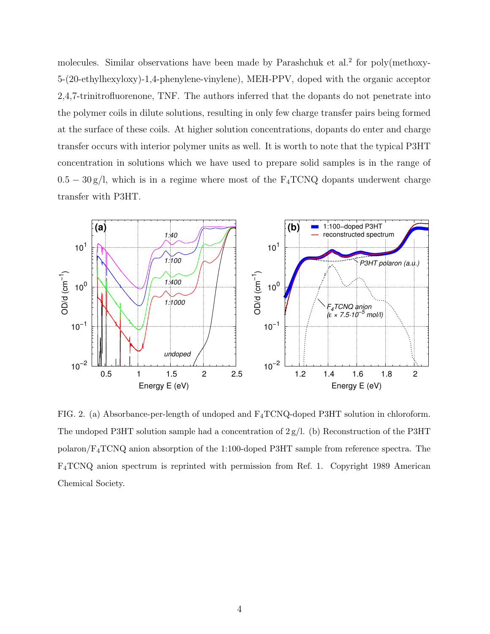molecules. Similar observations have been made by Parashchuk et al.<sup>2</sup> for poly(methoxy-5-(20-ethylhexyloxy)-1,4-phenylene-vinylene), MEH-PPV, doped with the organic acceptor 2,4,7-trinitrofluorenone, TNF. The authors inferred that the dopants do not penetrate into the polymer coils in dilute solutions, resulting in only few charge transfer pairs being formed at the surface of these coils. At higher solution concentrations, dopants do enter and charge transfer occurs with interior polymer units as well. It is worth to note that the typical P3HT concentration in solutions which we have used to prepare solid samples is in the range of  $0.5 - 30 \text{ g/l}$ , which is in a regime where most of the F<sub>4</sub>TCNQ dopants underwent charge transfer with P3HT.



FIG. 2. (a) Absorbance-per-length of undoped and F4TCNQ-doped P3HT solution in chloroform. The undoped P3HT solution sample had a concentration of  $2 g/l$ . (b) Reconstruction of the P3HT polaron/F4TCNQ anion absorption of the 1:100-doped P3HT sample from reference spectra. The F4TCNQ anion spectrum is reprinted with permission from Ref. 1. Copyright 1989 American Chemical Society.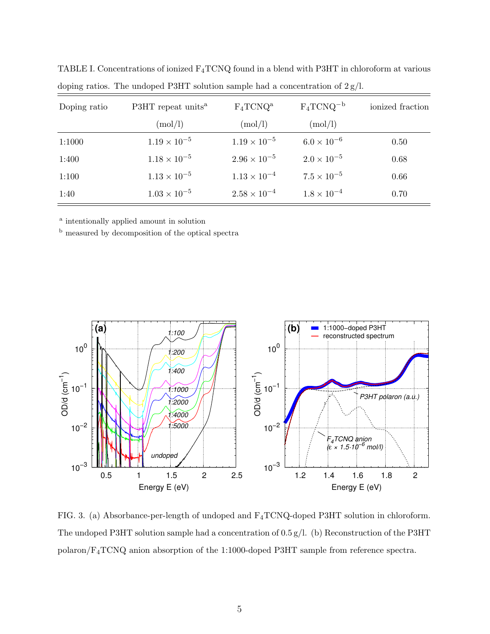| Doping ratio | P3HT repeat units <sup>a</sup> | $F_4TCNQ^a$           | $F_4TCNQ^{-b}$       | ionized fraction |
|--------------|--------------------------------|-----------------------|----------------------|------------------|
|              | (mod/l)                        | (mod/l)               | (mod/l)              |                  |
| 1:1000       | $1.19 \times 10^{-5}$          | $1.19 \times 10^{-5}$ | $6.0 \times 10^{-6}$ | 0.50             |
| 1:400        | $1.18 \times 10^{-5}$          | $2.96 \times 10^{-5}$ | $2.0 \times 10^{-5}$ | 0.68             |
| 1:100        | $1.13 \times 10^{-5}$          | $1.13 \times 10^{-4}$ | $7.5 \times 10^{-5}$ | 0.66             |
| 1:40         | $1.03 \times 10^{-5}$          | $2.58 \times 10^{-4}$ | $1.8 \times 10^{-4}$ | 0.70             |

TABLE I. Concentrations of ionized F4TCNQ found in a blend with P3HT in chloroform at various doping ratios. The undoped P3HT solution sample had a concentration of  $2 g/L$ .

<sup>a</sup> intentionally applied amount in solution

<sup>b</sup> measured by decomposition of the optical spectra



FIG. 3. (a) Absorbance-per-length of undoped and F4TCNQ-doped P3HT solution in chloroform. The undoped P3HT solution sample had a concentration of 0.5 g/l. (b) Reconstruction of the P3HT polaron/F4TCNQ anion absorption of the 1:1000-doped P3HT sample from reference spectra.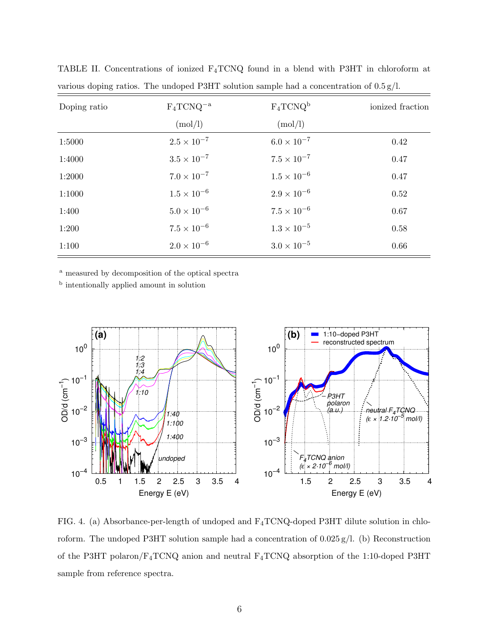| Doping ratio | $F_4TCNQ^{-a}$       | $F_4TCNQ^b$          | ionized fraction |
|--------------|----------------------|----------------------|------------------|
|              | (mod/l)              | (mod/l)              |                  |
| 1:5000       | $2.5 \times 10^{-7}$ | $6.0 \times 10^{-7}$ | 0.42             |
| 1:4000       | $3.5 \times 10^{-7}$ | $7.5 \times 10^{-7}$ | 0.47             |
| 1:2000       | $7.0 \times 10^{-7}$ | $1.5 \times 10^{-6}$ | 0.47             |
| 1:1000       | $1.5 \times 10^{-6}$ | $2.9 \times 10^{-6}$ | 0.52             |
| 1:400        | $5.0 \times 10^{-6}$ | $7.5 \times 10^{-6}$ | 0.67             |
| 1:200        | $7.5 \times 10^{-6}$ | $1.3 \times 10^{-5}$ | 0.58             |
| 1:100        | $2.0 \times 10^{-6}$ | $3.0 \times 10^{-5}$ | 0.66             |

TABLE II. Concentrations of ionized F4TCNQ found in a blend with P3HT in chloroform at various doping ratios. The undoped P3HT solution sample had a concentration of 0.5 g/l.

<sup>a</sup> measured by decomposition of the optical spectra

<sup>b</sup> intentionally applied amount in solution



FIG. 4. (a) Absorbance-per-length of undoped and F4TCNQ-doped P3HT dilute solution in chloroform. The undoped P3HT solution sample had a concentration of 0.025 g/l. (b) Reconstruction of the P3HT polaron/F4TCNQ anion and neutral F4TCNQ absorption of the 1:10-doped P3HT sample from reference spectra.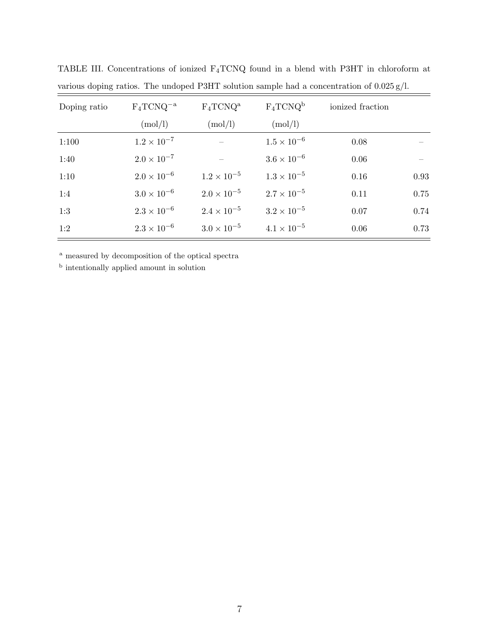| Doping ratio | $F_4TCNQ^{-a}$       | $F_4TCNQ^a$          | $F_4TCNQ^b$          | ionized fraction |      |
|--------------|----------------------|----------------------|----------------------|------------------|------|
|              | (mod/l)              | (mod/l)              | (mod/l)              |                  |      |
| 1:100        | $1.2 \times 10^{-7}$ |                      | $1.5 \times 10^{-6}$ | 0.08             |      |
| 1:40         | $2.0 \times 10^{-7}$ |                      | $3.6 \times 10^{-6}$ | 0.06             |      |
| 1:10         | $2.0 \times 10^{-6}$ | $1.2 \times 10^{-5}$ | $1.3 \times 10^{-5}$ | 0.16             | 0.93 |
| 1:4          | $3.0 \times 10^{-6}$ | $2.0 \times 10^{-5}$ | $2.7 \times 10^{-5}$ | 0.11             | 0.75 |
| 1:3          | $2.3 \times 10^{-6}$ | $2.4 \times 10^{-5}$ | $3.2 \times 10^{-5}$ | 0.07             | 0.74 |
| 1:2          | $2.3 \times 10^{-6}$ | $3.0 \times 10^{-5}$ | $4.1 \times 10^{-5}$ | 0.06             | 0.73 |

TABLE III. Concentrations of ionized F4TCNQ found in a blend with P3HT in chloroform at various doping ratios. The undoped P3HT solution sample had a concentration of 0.025 g/l.

<sup>a</sup> measured by decomposition of the optical spectra

<sup>b</sup> intentionally applied amount in solution